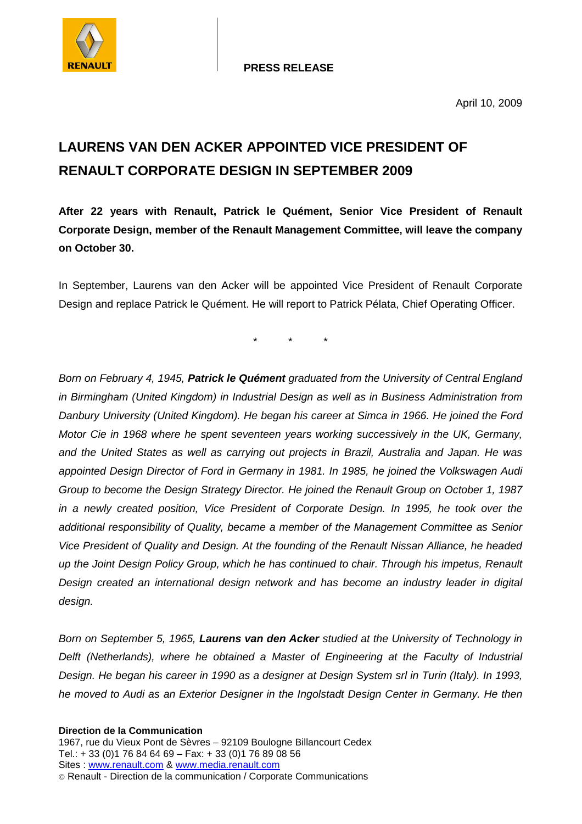

**PRESS RELEASE**

## **LAURENS VAN DEN ACKER APPOINTED VICE PRESIDENT OF RENAULT CORPORATE DESIGN IN SEPTEMBER 2009**

**After 22 years with Renault, Patrick le Quément, Senior Vice President of Renault Corporate Design, member of the Renault Management Committee, will leave the company on October 30.** 

In September, Laurens van den Acker will be appointed Vice President of Renault Corporate Design and replace Patrick le Quément. He will report to Patrick Pélata, Chief Operating Officer.

\* \* \*

Born on February 4, 1945, **Patrick le Quément** graduated from the University of Central England in Birmingham (United Kingdom) in Industrial Design as well as in Business Administration from Danbury University (United Kingdom). He began his career at Simca in 1966. He joined the Ford Motor Cie in 1968 where he spent seventeen years working successively in the UK, Germany, and the United States as well as carrying out projects in Brazil, Australia and Japan. He was appointed Design Director of Ford in Germany in 1981. In 1985, he joined the Volkswagen Audi Group to become the Design Strategy Director. He joined the Renault Group on October 1, 1987 in a newly created position, Vice President of Corporate Design. In 1995, he took over the additional responsibility of Quality, became a member of the Management Committee as Senior Vice President of Quality and Design. At the founding of the Renault Nissan Alliance, he headed up the Joint Design Policy Group, which he has continued to chair. Through his impetus, Renault Design created an international design network and has become an industry leader in digital design.

Born on September 5, 1965, **Laurens van den Acker** studied at the University of Technology in Delft (Netherlands), where he obtained a Master of Engineering at the Faculty of Industrial Design. He began his career in 1990 as a designer at Design System srl in Turin (Italy). In 1993, he moved to Audi as an Exterior Designer in the Ingolstadt Design Center in Germany. He then

<sup>1967,</sup> rue du Vieux Pont de Sèvres – 92109 Boulogne Billancourt Cedex Tel.: + 33 (0)1 76 84 64 69 – Fax: + 33 (0)1 76 89 08 56 Sites : www.renault.com & www.media.renault.com Renault - Direction de la communication / Corporate Communications